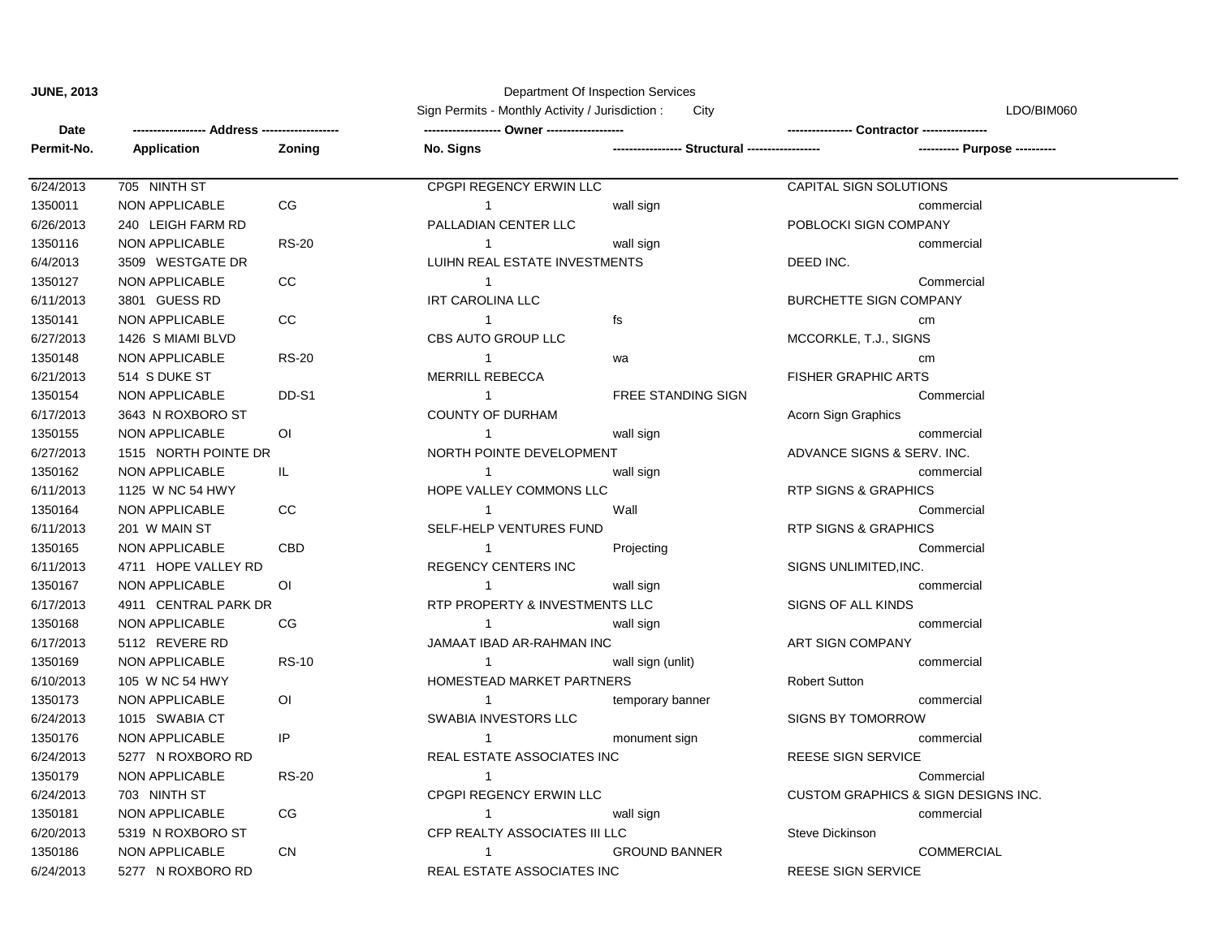## **JUNE, 2013** Department Of Inspection Services

Sign Permits - Monthly Activity / Jurisdiction : City City LDO/BIM060

| Date       |                       |              | $\cdots$ complete monthly rice $\cdots$ received and concentrations. |                           |                                     |  |
|------------|-----------------------|--------------|----------------------------------------------------------------------|---------------------------|-------------------------------------|--|
| Permit-No. | Application           | Zoning       | No. Signs                                                            |                           | ---------- Purpose ----------       |  |
|            |                       |              |                                                                      |                           |                                     |  |
| 6/24/2013  | 705 NINTH ST          |              | CPGPI REGENCY ERWIN LLC                                              |                           | CAPITAL SIGN SOLUTIONS              |  |
| 1350011    | NON APPLICABLE        | CG           | $\overline{1}$                                                       | wall sign                 | commercial                          |  |
| 6/26/2013  | 240 LEIGH FARM RD     |              | PALLADIAN CENTER LLC                                                 |                           | POBLOCKI SIGN COMPANY               |  |
| 1350116    | NON APPLICABLE        | <b>RS-20</b> | $\overline{1}$                                                       | wall sign                 | commercial                          |  |
| 6/4/2013   | 3509 WESTGATE DR      |              | LUIHN REAL ESTATE INVESTMENTS                                        |                           | DEED INC.                           |  |
| 1350127    | <b>NON APPLICABLE</b> | $_{\rm CC}$  | $\overline{1}$                                                       |                           | Commercial                          |  |
| 6/11/2013  | 3801 GUESS RD         |              | <b>IRT CAROLINA LLC</b>                                              |                           | <b>BURCHETTE SIGN COMPANY</b>       |  |
| 1350141    | <b>NON APPLICABLE</b> | CC           | $\mathbf{1}$                                                         | fs                        | cm                                  |  |
| 6/27/2013  | 1426 S MIAMI BLVD     |              | CBS AUTO GROUP LLC                                                   |                           | MCCORKLE, T.J., SIGNS               |  |
| 1350148    | NON APPLICABLE        | <b>RS-20</b> | $\overline{1}$                                                       | wa                        | cm                                  |  |
| 6/21/2013  | 514 S DUKE ST         |              | MERRILL REBECCA                                                      |                           | <b>FISHER GRAPHIC ARTS</b>          |  |
| 1350154    | NON APPLICABLE        | DD-S1        | $\overline{1}$                                                       | <b>FREE STANDING SIGN</b> | Commercial                          |  |
| 6/17/2013  | 3643 N ROXBORO ST     |              | <b>COUNTY OF DURHAM</b>                                              |                           | Acorn Sign Graphics                 |  |
| 1350155    | NON APPLICABLE        | ΟI           | $\overline{1}$                                                       | wall sign                 | commercial                          |  |
| 6/27/2013  | 1515 NORTH POINTE DR  |              | NORTH POINTE DEVELOPMENT                                             |                           | ADVANCE SIGNS & SERV. INC.          |  |
| 1350162    | NON APPLICABLE        | IL.          | $\mathbf{1}$                                                         | wall sign                 | commercial                          |  |
| 6/11/2013  | 1125 W NC 54 HWY      |              | HOPE VALLEY COMMONS LLC                                              |                           | RTP SIGNS & GRAPHICS                |  |
| 1350164    | <b>NON APPLICABLE</b> | CC           | $\mathbf{1}$                                                         | Wall                      | Commercial                          |  |
| 6/11/2013  | 201 W MAIN ST         |              | SELF-HELP VENTURES FUND                                              |                           | <b>RTP SIGNS &amp; GRAPHICS</b>     |  |
| 1350165    | <b>NON APPLICABLE</b> | CBD          | $\overline{1}$                                                       | Projecting                | Commercial                          |  |
| 6/11/2013  | 4711 HOPE VALLEY RD   |              | <b>REGENCY CENTERS INC</b>                                           |                           | SIGNS UNLIMITED, INC.               |  |
| 1350167    | <b>NON APPLICABLE</b> | 0I           | -1                                                                   | wall sign                 | commercial                          |  |
| 6/17/2013  | 4911 CENTRAL PARK DR  |              | RTP PROPERTY & INVESTMENTS LLC                                       |                           | SIGNS OF ALL KINDS                  |  |
| 1350168    | NON APPLICABLE        | CG           | $\overline{1}$                                                       | wall sign                 | commercial                          |  |
| 6/17/2013  | 5112 REVERE RD        |              | JAMAAT IBAD AR-RAHMAN INC                                            |                           | <b>ART SIGN COMPANY</b>             |  |
| 1350169    | NON APPLICABLE        | <b>RS-10</b> | $\overline{1}$                                                       | wall sign (unlit)         | commercial                          |  |
| 6/10/2013  | 105 W NC 54 HWY       |              | HOMESTEAD MARKET PARTNERS                                            |                           | <b>Robert Sutton</b>                |  |
| 1350173    | <b>NON APPLICABLE</b> | OI.          | $\overline{1}$                                                       | temporary banner          | commercial                          |  |
| 6/24/2013  | 1015 SWABIA CT        |              | SWABIA INVESTORS LLC                                                 |                           | <b>SIGNS BY TOMORROW</b>            |  |
| 1350176    | NON APPLICABLE        | IP           | $\mathbf{1}$                                                         | monument sign             | commercial                          |  |
| 6/24/2013  | 5277 N ROXBORO RD     |              | REAL ESTATE ASSOCIATES INC                                           |                           | REESE SIGN SERVICE                  |  |
| 1350179    | NON APPLICABLE        | <b>RS-20</b> | $\overline{1}$                                                       |                           | Commercial                          |  |
| 6/24/2013  | 703 NINTH ST          |              | CPGPI REGENCY ERWIN LLC                                              |                           | CUSTOM GRAPHICS & SIGN DESIGNS INC. |  |
| 1350181    | NON APPLICABLE        | CG           | $\mathbf{1}$                                                         | wall sign                 | commercial                          |  |
| 6/20/2013  | 5319 N ROXBORO ST     |              | CFP REALTY ASSOCIATES III LLC                                        |                           | Steve Dickinson                     |  |
| 1350186    | <b>NON APPLICABLE</b> | <b>CN</b>    | -1                                                                   | <b>GROUND BANNER</b>      | <b>COMMERCIAL</b>                   |  |
| 6/24/2013  | 5277 N ROXBORO RD     |              | REAL ESTATE ASSOCIATES INC                                           |                           | REESE SIGN SERVICE                  |  |